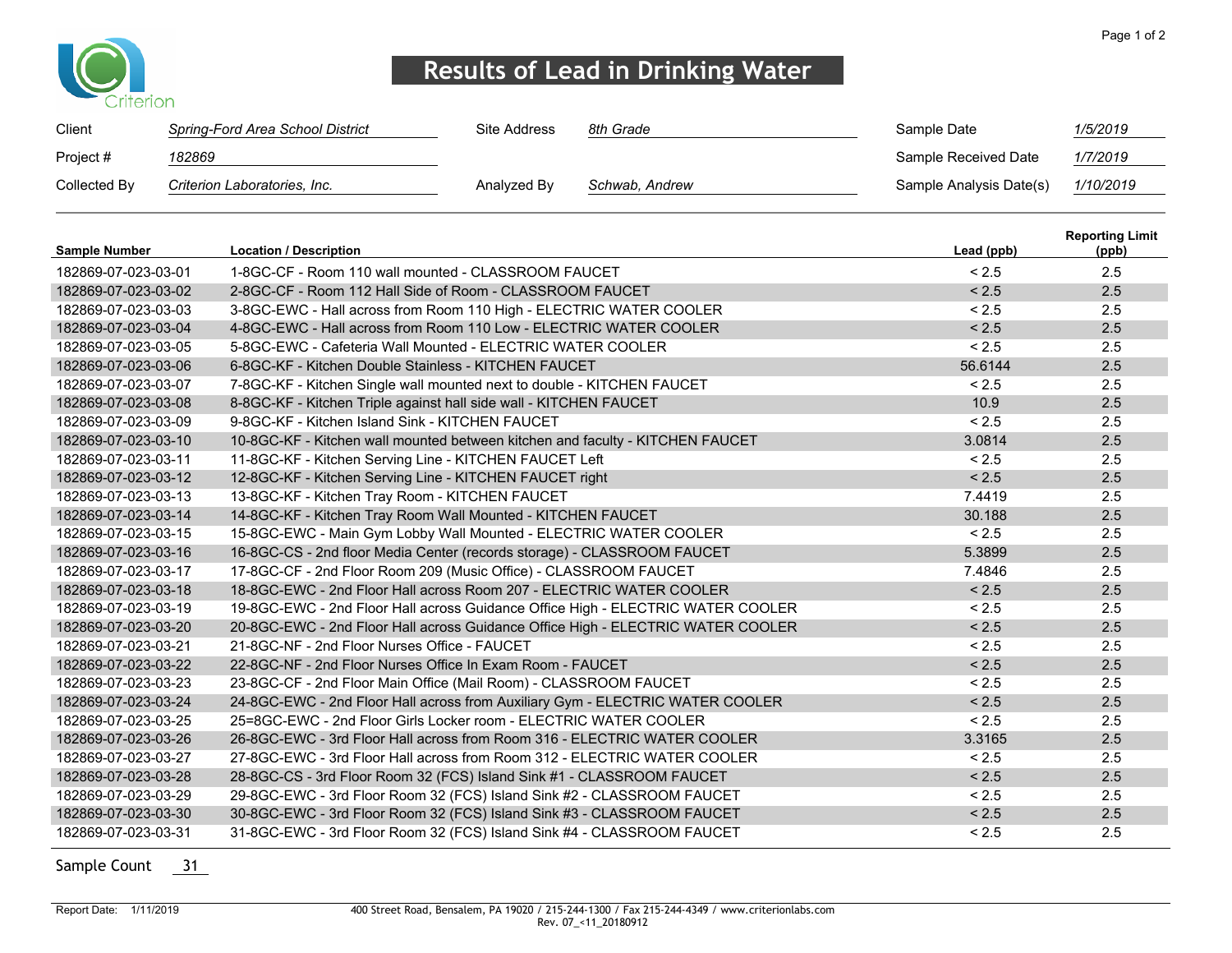

## **Results of Lead in Drinking Water**

| Client       | Spring-Ford Area School District | Site Address | 8th Grade      | Sample Date             | 1/5/2019  |
|--------------|----------------------------------|--------------|----------------|-------------------------|-----------|
| Project #    | 182869                           |              |                | Sample Received Date    | 1/7/2019  |
| Collected By | Criterion Laboratories, Inc.     | Analyzed By  | Schwab, Andrew | Sample Analysis Date(s) | 1/10/2019 |

| <b>Sample Number</b> | <b>Location / Description</b>                                                   | Lead (ppb) | <b>Reporting Limit</b><br>(ppb) |
|----------------------|---------------------------------------------------------------------------------|------------|---------------------------------|
| 182869-07-023-03-01  | 1-8GC-CF - Room 110 wall mounted - CLASSROOM FAUCET                             | < 2.5      | 2.5                             |
| 182869-07-023-03-02  | 2-8GC-CF - Room 112 Hall Side of Room - CLASSROOM FAUCET                        | < 2.5      | 2.5                             |
| 182869-07-023-03-03  | 3-8GC-EWC - Hall across from Room 110 High - ELECTRIC WATER COOLER              | < 2.5      | 2.5                             |
| 182869-07-023-03-04  | 4-8GC-EWC - Hall across from Room 110 Low - ELECTRIC WATER COOLER               | < 2.5      | 2.5                             |
| 182869-07-023-03-05  | 5-8GC-EWC - Cafeteria Wall Mounted - ELECTRIC WATER COOLER                      | < 2.5      | 2.5                             |
| 182869-07-023-03-06  | 6-8GC-KF - Kitchen Double Stainless - KITCHEN FAUCET                            | 56.6144    | 2.5                             |
| 182869-07-023-03-07  | 7-8GC-KF - Kitchen Single wall mounted next to double - KITCHEN FAUCET          | < 2.5      | 2.5                             |
| 182869-07-023-03-08  | 8-8GC-KF - Kitchen Triple against hall side wall - KITCHEN FAUCET               | 10.9       | 2.5                             |
| 182869-07-023-03-09  | 9-8GC-KF - Kitchen Island Sink - KITCHEN FAUCFT                                 | < 2.5      | 2.5                             |
| 182869-07-023-03-10  | 10-8GC-KF - Kitchen wall mounted between kitchen and faculty - KITCHEN FAUCET   | 3.0814     | 2.5                             |
| 182869-07-023-03-11  | 11-8GC-KF - Kitchen Serving Line - KITCHEN FAUCET Left                          | < 2.5      | 2.5                             |
| 182869-07-023-03-12  | 12-8GC-KF - Kitchen Serving Line - KITCHEN FAUCET right                         | < 2.5      | 2.5                             |
| 182869-07-023-03-13  | 13-8GC-KF - Kitchen Tray Room - KITCHEN FAUCET                                  | 7.4419     | 2.5                             |
| 182869-07-023-03-14  | 14-8GC-KF - Kitchen Tray Room Wall Mounted - KITCHEN FAUCET                     | 30.188     | 2.5                             |
| 182869-07-023-03-15  | 15-8GC-EWC - Main Gym Lobby Wall Mounted - ELECTRIC WATER COOLER                | < 2.5      | 2.5                             |
| 182869-07-023-03-16  | 16-8GC-CS - 2nd floor Media Center (records storage) - CLASSROOM FAUCET         | 5.3899     | 2.5                             |
| 182869-07-023-03-17  | 17-8GC-CF - 2nd Floor Room 209 (Music Office) - CLASSROOM FAUCET                | 7.4846     | 2.5                             |
| 182869-07-023-03-18  | 18-8GC-EWC - 2nd Floor Hall across Room 207 - ELECTRIC WATER COOLER             | < 2.5      | 2.5                             |
| 182869-07-023-03-19  | 19-8GC-EWC - 2nd Floor Hall across Guidance Office High - ELECTRIC WATER COOLER | < 2.5      | 2.5                             |
| 182869-07-023-03-20  | 20-8GC-EWC - 2nd Floor Hall across Guidance Office High - ELECTRIC WATER COOLER | < 2.5      | 2.5                             |
| 182869-07-023-03-21  | 21-8GC-NF - 2nd Floor Nurses Office - FAUCFT                                    | < 2.5      | 2.5                             |
| 182869-07-023-03-22  | 22-8GC-NF - 2nd Floor Nurses Office In Exam Room - FAUCET                       | < 2.5      | 2.5                             |
| 182869-07-023-03-23  | 23-8GC-CF - 2nd Floor Main Office (Mail Room) - CLASSROOM FAUCET                | < 2.5      | 2.5                             |
| 182869-07-023-03-24  | 24-8GC-EWC - 2nd Floor Hall across from Auxiliary Gym - ELECTRIC WATER COOLER   | < 2.5      | 2.5                             |
| 182869-07-023-03-25  | 25=8GC-EWC - 2nd Floor Girls Locker room - ELECTRIC WATER COOLER                | < 2.5      | 2.5                             |
| 182869-07-023-03-26  | 26-8GC-EWC - 3rd Floor Hall across from Room 316 - ELECTRIC WATER COOLER        | 3.3165     | 2.5                             |
| 182869-07-023-03-27  | 27-8GC-EWC - 3rd Floor Hall across from Room 312 - ELECTRIC WATER COOLER        | < 2.5      | 2.5                             |
| 182869-07-023-03-28  | 28-8GC-CS - 3rd Floor Room 32 (FCS) Island Sink #1 - CLASSROOM FAUCET           | < 2.5      | 2.5                             |
| 182869-07-023-03-29  | 29-8GC-EWC - 3rd Floor Room 32 (FCS) Island Sink #2 - CLASSROOM FAUCET          | < 2.5      | 2.5                             |
| 182869-07-023-03-30  | 30-8GC-EWC - 3rd Floor Room 32 (FCS) Island Sink #3 - CLASSROOM FAUCET          | < 2.5      | 2.5                             |
| 182869-07-023-03-31  | 31-8GC-EWC - 3rd Floor Room 32 (FCS) Island Sink #4 - CLASSROOM FAUCET          | < 2.5      | 2.5                             |

Sample Count 31